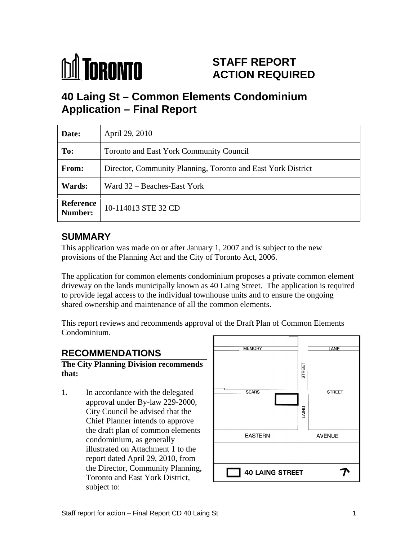

# **STAFF REPORT ACTION REQUIRED**

# **40 Laing St – Common Elements Condominium Application – Final Report**

| Date:  | April 29, 2010                                               |
|--------|--------------------------------------------------------------|
| To:    | Toronto and East York Community Council                      |
| From:  | Director, Community Planning, Toronto and East York District |
| Wards: | $\vert$ Ward 32 – Beaches-East York                          |
|        | <b>Reference</b> 10-114013 STE 32 CD<br><b>Number:</b>       |

## **SUMMARY**

This application was made on or after January 1, 2007 and is subject to the new provisions of the Planning Act and the City of Toronto Act, 2006.

The application for common elements condominium proposes a private common element driveway on the lands municipally known as 40 Laing Street. The application is required to provide legal access to the individual townhouse units and to ensure the ongoing shared ownership and maintenance of all the common elements.

This report reviews and recommends approval of the Draft Plan of Common Elements Condominium.

**The City Planning Division recommends <br>that:** 

1. In accordance with the delegated  $\sqrt{1-\frac{SEARS}{SEARS}}$ approval under By-law 229-2000,<br>City Council be advised that the City Council be advised that the Chief Planner intends to approve condominium, as generally illustrated on Attachment 1 to the report dated April 29, 2010, from subject to:

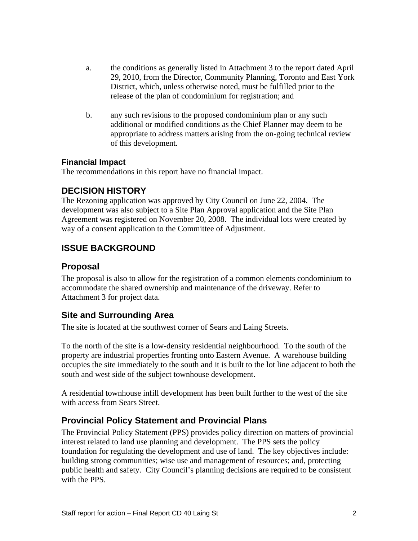- a. the conditions as generally listed in Attachment 3 to the report dated April 29, 2010, from the Director, Community Planning, Toronto and East York District, which, unless otherwise noted, must be fulfilled prior to the release of the plan of condominium for registration; and
- b. any such revisions to the proposed condominium plan or any such additional or modified conditions as the Chief Planner may deem to be appropriate to address matters arising from the on-going technical review of this development.

#### **Financial Impact**

The recommendations in this report have no financial impact.

#### **DECISION HISTORY**

The Rezoning application was approved by City Council on June 22, 2004. The development was also subject to a Site Plan Approval application and the Site Plan Agreement was registered on November 20, 2008. The individual lots were created by way of a consent application to the Committee of Adjustment.

#### **ISSUE BACKGROUND**

#### **Proposal**

The proposal is also to allow for the registration of a common elements condominium to accommodate the shared ownership and maintenance of the driveway. Refer to Attachment 3 for project data.

#### **Site and Surrounding Area**

The site is located at the southwest corner of Sears and Laing Streets.

To the north of the site is a low-density residential neighbourhood. To the south of the property are industrial properties fronting onto Eastern Avenue. A warehouse building occupies the site immediately to the south and it is built to the lot line adjacent to both the south and west side of the subject townhouse development.

A residential townhouse infill development has been built further to the west of the site with access from Sears Street.

#### **Provincial Policy Statement and Provincial Plans**

The Provincial Policy Statement (PPS) provides policy direction on matters of provincial interest related to land use planning and development. The PPS sets the policy foundation for regulating the development and use of land. The key objectives include: building strong communities; wise use and management of resources; and, protecting public health and safety. City Council's planning decisions are required to be consistent with the PPS.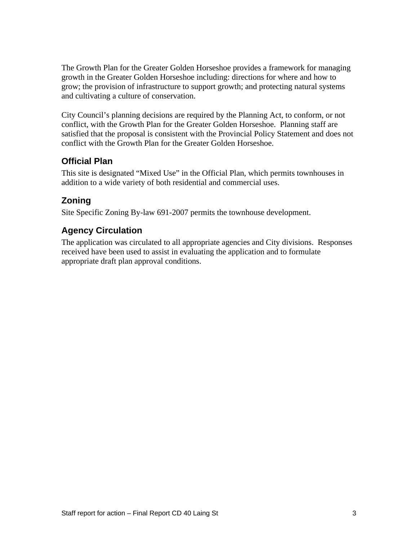The Growth Plan for the Greater Golden Horseshoe provides a framework for managing growth in the Greater Golden Horseshoe including: directions for where and how to grow; the provision of infrastructure to support growth; and protecting natural systems and cultivating a culture of conservation.

City Council's planning decisions are required by the Planning Act, to conform, or not conflict, with the Growth Plan for the Greater Golden Horseshoe. Planning staff are satisfied that the proposal is consistent with the Provincial Policy Statement and does not conflict with the Growth Plan for the Greater Golden Horseshoe.

#### **Official Plan**

This site is designated "Mixed Use" in the Official Plan, which permits townhouses in addition to a wide variety of both residential and commercial uses.

### **Zoning**

Site Specific Zoning By-law 691-2007 permits the townhouse development.

## **Agency Circulation**

The application was circulated to all appropriate agencies and City divisions. Responses received have been used to assist in evaluating the application and to formulate appropriate draft plan approval conditions.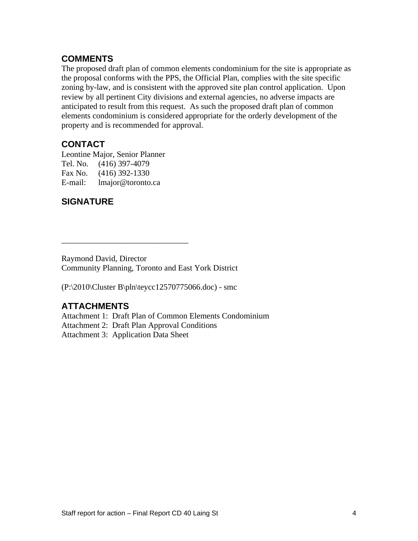#### **COMMENTS**

The proposed draft plan of common elements condominium for the site is appropriate as the proposal conforms with the PPS, the Official Plan, complies with the site specific zoning by-law, and is consistent with the approved site plan control application. Upon review by all pertinent City divisions and external agencies, no adverse impacts are anticipated to result from this request. As such the proposed draft plan of common elements condominium is considered appropriate for the orderly development of the property and is recommended for approval.

#### **CONTACT**

Leontine Major, Senior Planner Tel. No. (416) 397-4079 Fax No. (416) 392-1330 E-mail: lmajor@toronto.ca

#### **SIGNATURE**

Raymond David, Director Community Planning, Toronto and East York District

(P:\2010\Cluster B\pln\teycc12570775066.doc) - smc

#### **ATTACHMENTS**

Attachment 1: Draft Plan of Common Elements Condominium Attachment 2: Draft Plan Approval Conditions Attachment 3: Application Data Sheet

 $\overline{\phantom{a}}$  , we are the contract of the contract of the contract of the contract of the contract of the contract of the contract of the contract of the contract of the contract of the contract of the contract of the cont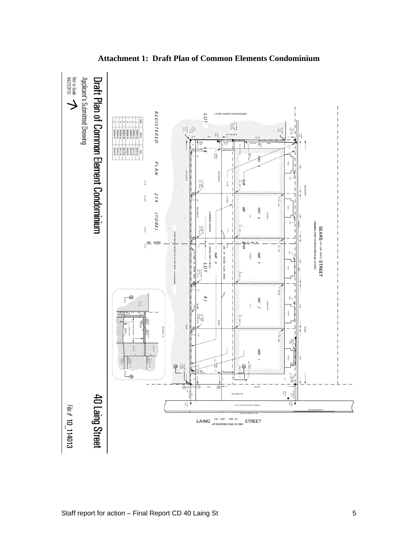

#### **Attachment 1: Draft Plan of Common Elements Condominium**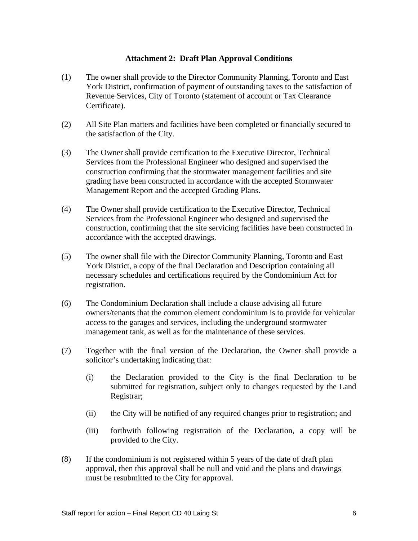#### **Attachment 2: Draft Plan Approval Conditions**

- (1) The owner shall provide to the Director Community Planning, Toronto and East York District, confirmation of payment of outstanding taxes to the satisfaction of Revenue Services, City of Toronto (statement of account or Tax Clearance Certificate).
- (2) All Site Plan matters and facilities have been completed or financially secured to the satisfaction of the City.
- (3) The Owner shall provide certification to the Executive Director, Technical Services from the Professional Engineer who designed and supervised the construction confirming that the stormwater management facilities and site grading have been constructed in accordance with the accepted Stormwater Management Report and the accepted Grading Plans.
- (4) The Owner shall provide certification to the Executive Director, Technical Services from the Professional Engineer who designed and supervised the construction, confirming that the site servicing facilities have been constructed in accordance with the accepted drawings.
- (5) The owner shall file with the Director Community Planning, Toronto and East York District, a copy of the final Declaration and Description containing all necessary schedules and certifications required by the Condominium Act for registration.
- (6) The Condominium Declaration shall include a clause advising all future owners/tenants that the common element condominium is to provide for vehicular access to the garages and services, including the underground stormwater management tank, as well as for the maintenance of these services.
- (7) Together with the final version of the Declaration, the Owner shall provide a solicitor's undertaking indicating that:
	- (i) the Declaration provided to the City is the final Declaration to be submitted for registration, subject only to changes requested by the Land Registrar; etc. and the contract of the contract of the contract of the contract of the contract of the contract of the contract of the contract of the contract of the contract of the contract of the contract of the contra
	- (ii) the City will be notified of any required changes prior to registration; and
	- (iii) forthwith following registration of the Declaration, a copy will be provided to the City.
- (8) If the condominium is not registered within 5 years of the date of draft plan approval, then this approval shall be null and void and the plans and drawings must be resubmitted to the City for approval.